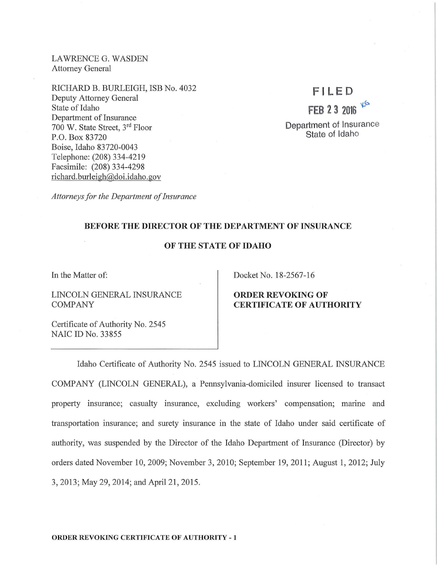LAWRENCE G. WASDEN Attorney General

RICHARD B. BURLEIGH, ISB No. 4032 Deputy Attorney General State of Idaho Department of Insurance 700 W. State Street, 3rd Floor P.O. Box 83720 Boise, Idaho 83720-0043 Telephone: (208) 334-4219 Facsimile: (208) 334-4298 richard. burleigh@doi.idaho.gov

# **F l LED**

**FEB 2 3 2016**  $x^G$ **Department** of Insurance **State** of Idaho

*Attorneys for the Department of Insurance* 

# **BEFORE THE DIRECTOR OF THE DEPARTMENT OF INSURANCE**

# **OF THE STATE OF IDAHO**

In the Matter of:

LINCOLN GENERAL INSURANCE COMPANY

Certificate of Authority No. 2545 NAIC ID No. 33855

Docket No. 18-2567-16

## **ORDER REVOKING OF CERTIFICATE OF AUTHORITY**

Idaho Certificate of Authority No. 2545 issued to LINCOLN GENERAL INSURANCE COMPANY (LINCOLN GENERAL), a Pennsylvania-domiciled insurer licensed to transact property insurance; casualty insurance, excluding workers' compensation; marine and transportation insurance; and surety insurance in the state of Idaho under said certificate of authority, was suspended by the Director of the Idaho Department of Insurance (Director) by orders dated November 10, 2009; November 3, 2010; September 19, 2011 ; August **1,** 2012; July 3, 2013; May 29, 2014; and April 21, 2015 .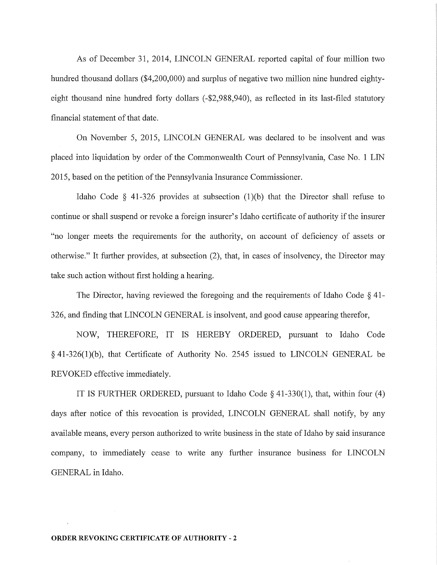As of December 31, 2014, LINCOLN GENERAL reported capital of four million two hundred thousand dollars (\$4,200,000) and surplus of negative two million nine hundred eightyeight thousand nine hundred forty dollars (-\$2,988,940), as reflected in its last-filed statutory financial statement of that date.

On November 5, 2015, LINCOLN GENERAL was declared to be insolvent and was placed into liquidation by order of the Commonwealth Court of Pennsylvania, Case No. **1** LIN 2015, based on the petition of the Pennsylvania Insurance Commissioner.

Idaho Code  $\S$  41-326 provides at subsection (1)(b) that the Director shall refuse to continue or shall suspend or revoke a foreign insurer's Idaho certificate of authority if the insurer "no longer meets the requirements for the authority, on account of deficiency of assets or otherwise." It further provides, at subsection (2), that, in cases of insolvency, the Director may take such action without first holding a hearing.

The Director, having reviewed the foregoing and the requirements of Idaho Code § 41- 326, and finding that LINCOLN GENERAL is insolvent, and good cause appearing therefor,

NOW, THEREFORE, IT IS HEREBY ORDERED, pursuant to Idaho Code § 41-326(1)(b), that Certificate of Authority No. 2545 issued to LINCOLN GENERAL be REVOKED effective immediately.

IT IS FURTHER ORDERED, pursuant to Idaho Code  $\S$  41-330(1), that, within four (4) days after notice of this revocation is provided, LINCOLN GENERAL shall notify, by any available means, every person authorized to write business in the state of Idaho by said insurance company, to immediately cease to write any further insurance business for LINCOLN GENERAL in Idaho.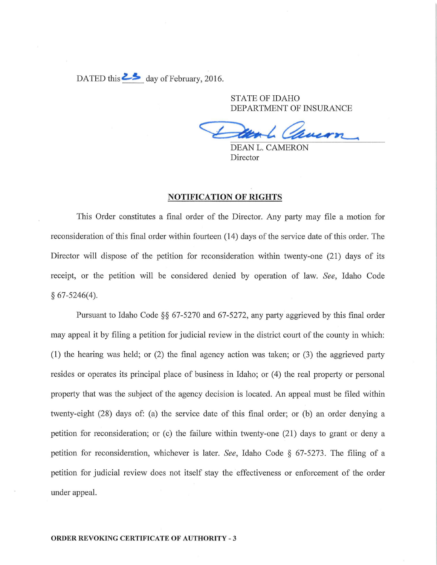DATED this  $\geq$ **S** day of February, 2016.

STATE OF IDAHO DEPARTMENT OF INSURANCE

DEAN L. CAMERON Director

#### **NOTIFICATION OF RIGHTS**

This Order constitutes a final order of the Director. Any party may file a motion for reconsideration of this final order within fomieen (14) days of the service date of this order. The Director will dispose of the petition for reconsideration within twenty-one (21) days of its receipt, or the petition will be considered denied by operation of law. *See,* Idaho Code § 67-5246(4).

Pursuant to Idaho Code §§ 67-5270 and 67-5272, any party aggrieved by this final order may appeal it by filing a petition for judicial review in the district court of the county in which: (1) the hearing was held; or  $(2)$  the final agency action was taken; or  $(3)$  the aggrieved party resides or operates its principal place of business in Idaho; or (4) the real property or personal property that was the subject of the agency decision is located. An appeal must be filed within twenty-eight (28) days of: (a) the service date of this final order; or (b) an order denying a petition for reconsideration; or (c) the failure within twenty-one  $(21)$  days to grant or deny a petition for reconsideration, whichever is later. *See,* Idaho Code § 67-5273. The filing of a petition for judicial review does not itself stay the effectiveness or enforcement of the order under appeal.

#### **ORDER REVOKJNG CERTIFICATE OF AUTHORITY** - 3